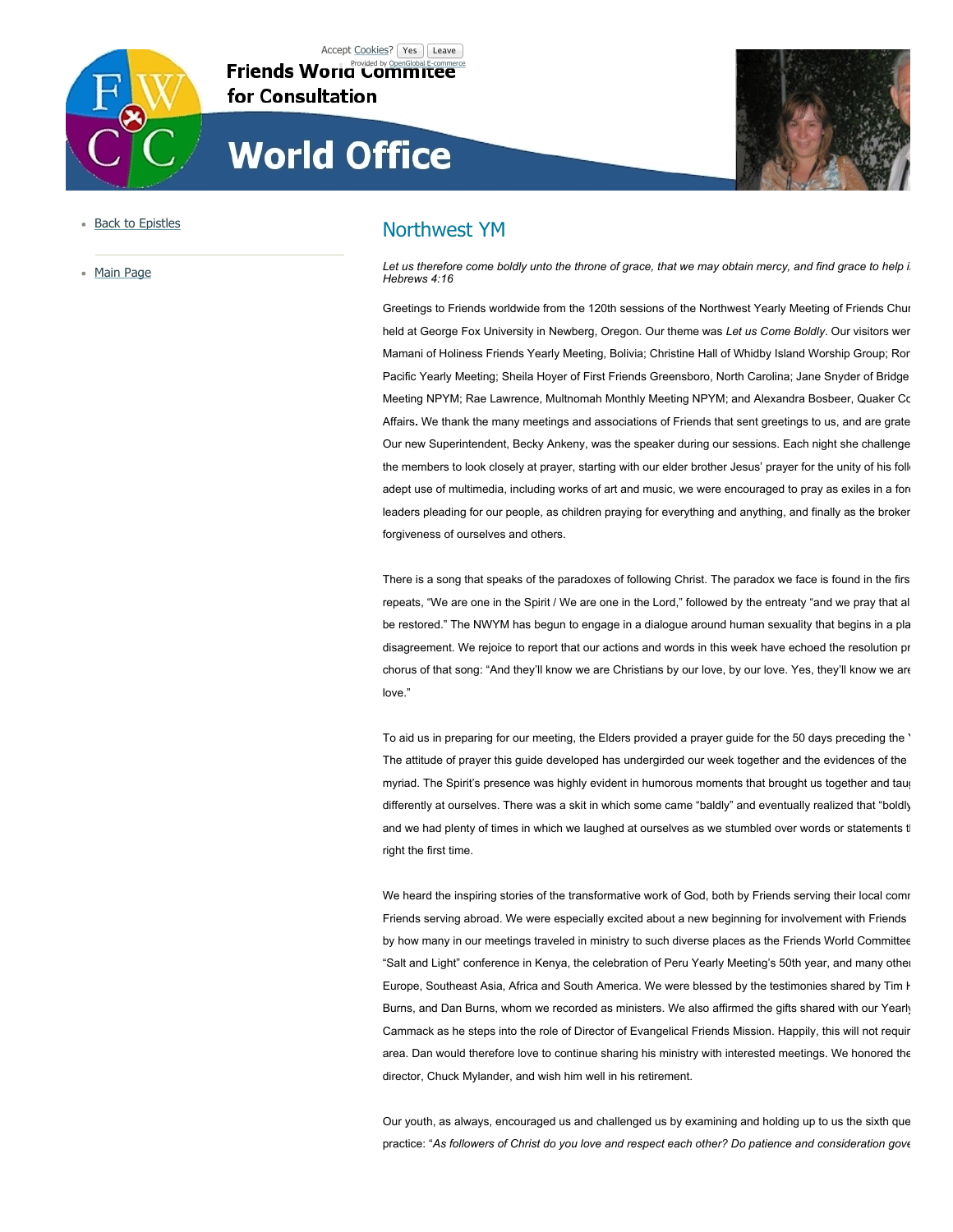

Accept Cookies? Yes Leave **Friends World Committee** 

## for Consultation

## **World Office**



- Back to Epistles
- Main Page

## Northwest YM

Let us therefore come boldly unto the throne of grace, that we may obtain mercy, and find grace to help i. *Hebrews 4:16*

Greetings to Friends worldwide from the 120th sessions of the Northwest Yearly Meeting of Friends Chur held at George Fox University in Newberg, Oregon. Our theme was Let us Come Boldly. Our visitors wer Mamani of Holiness Friends Yearly Meeting, Bolivia; Christine Hall of Whidby Island Worship Group; Ror Pacific Yearly Meeting; Sheila Hoyer of First Friends Greensboro, North Carolina; Jane Snyder of Bridge Meeting NPYM; Rae Lawrence, Multnomah Monthly Meeting NPYM; and Alexandra Bosbeer, Quaker Cc Affairs. We thank the many meetings and associations of Friends that sent greetings to us, and are grate Our new Superintendent, Becky Ankeny, was the speaker during our sessions. Each night she challenge the members to look closely at prayer, starting with our elder brother Jesus' prayer for the unity of his follow adept use of multimedia, including works of art and music, we were encouraged to pray as exiles in a fore leaders pleading for our people, as children praying for everything and anything, and finally as the broker forgiveness of ourselves and others.

There is a song that speaks of the paradoxes of following Christ. The paradox we face is found in the firs repeats, "We are one in the Spirit / We are one in the Lord," followed by the entreaty "and we pray that all be restored." The NWYM has begun to engage in a dialogue around human sexuality that begins in a pla disagreement. We rejoice to report that our actions and words in this week have echoed the resolution pr chorus of that song: "And they'll know we are Christians by our love, by our love. Yes, they'll know we are Christians by love."

To aid us in preparing for our meeting, the Elders provided a prayer guide for the 50 days preceding the ' The attitude of prayer this guide developed has undergirded our week together and the evidences of the myriad. The Spirit's presence was highly evident in humorous moments that brought us together and taught us to differently at ourselves. There was a skit in which some came "baldly" and eventually realized that "boldly and we had plenty of times in which we laughed at ourselves as we stumbled over words or statements that right the first time.

We heard the inspiring stories of the transformative work of God, both by Friends serving their local comr Friends serving abroad. We were especially excited about a new beginning for involvement with Friends by how many in our meetings traveled in ministry to such diverse places as the Friends World Committee "Salt and Light" conference in Kenya, the celebration of Peru Yearly Meeting's 50th year, and many other Europe, Southeast Asia, Africa and South America. We were blessed by the testimonies shared by Tim F Burns, and Dan Burns, whom we recorded as ministers. We also affirmed the gifts shared with our Yearly Cammack as he steps into the role of Director of Evangelical Friends Mission. Happily, this will not requir area. Dan would therefore love to continue sharing his ministry with interested meetings. We honored the director, Chuck Mylander, and wish him well in his retirement.

Our youth, as always, encouraged us and challenged us by examining and holding up to us the sixth que practice: "*As followers of Christ do you love and respect each other? Do patience and consideration govern*